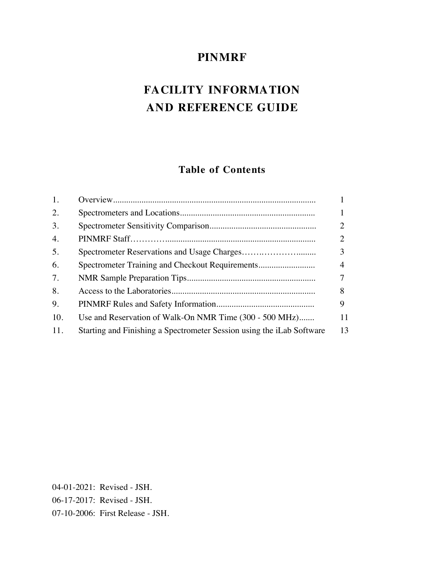# **PINMRF**

# **FACILITY INFORMATION AND REFERENCE GUIDE**

## **Table of Contents**

| 1.  |                                                                       |    |
|-----|-----------------------------------------------------------------------|----|
| 2.  |                                                                       |    |
| 3.  |                                                                       |    |
| 4.  |                                                                       |    |
| 5.  |                                                                       |    |
| 6.  | Spectrometer Training and Checkout Requirements                       | 4  |
| 7.  |                                                                       |    |
| 8.  |                                                                       | 8  |
| 9.  |                                                                       | 9  |
| 10. | Use and Reservation of Walk-On NMR Time (300 - 500 MHz)               | 11 |
| 11. | Starting and Finishing a Spectrometer Session using the iLab Software | 13 |

04-01-2021: Revised - JSH. 06-17-2017: Revised - JSH. 07-10-2006: First Release - JSH.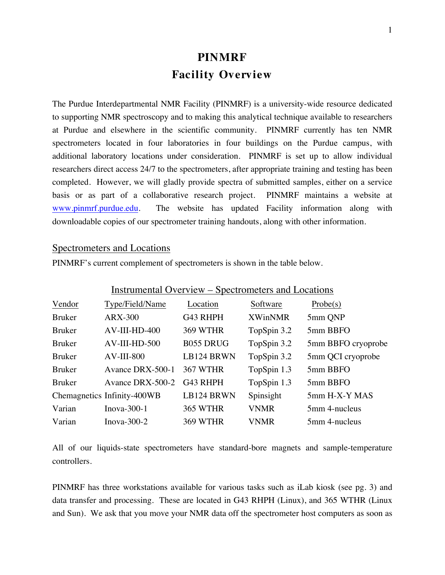# **PINMRF Facility Overview**

The Purdue Interdepartmental NMR Facility (PINMRF) is a university-wide resource dedicated to supporting NMR spectroscopy and to making this analytical technique available to researchers at Purdue and elsewhere in the scientific community. PINMRF currently has ten NMR spectrometers located in four laboratories in four buildings on the Purdue campus, with additional laboratory locations under consideration. PINMRF is set up to allow individual researchers direct access 24/7 to the spectrometers, after appropriate training and testing has been completed. However, we will gladly provide spectra of submitted samples, either on a service basis or as part of a collaborative research project. PINMRF maintains a website at www.pinmrf.purdue.edu. The website has updated Facility information along with downloadable copies of our spectrometer training handouts, along with other information.

#### Spectrometers and Locations

PINMRF's current complement of spectrometers is shown in the table below.

| Instrumental Overview – Spectrometers and Locations |                             |                  |                |                    |  |  |  |
|-----------------------------------------------------|-----------------------------|------------------|----------------|--------------------|--|--|--|
| Vendor                                              | Type/Field/Name             | Location         | Software       | Probe(s)           |  |  |  |
| <b>Bruker</b>                                       | <b>ARX-300</b>              | G43 RHPH         | <b>XWinNMR</b> | 5mm QNP            |  |  |  |
| <b>Bruker</b>                                       | $AV-III-HD-400$             | <b>369 WTHR</b>  | TopSpin 3.2    | 5mm BBFO           |  |  |  |
| <b>Bruker</b>                                       | $AV-III-HD-500$             | <b>B055 DRUG</b> | TopSpin 3.2    | 5mm BBFO cryoprobe |  |  |  |
| <b>Bruker</b>                                       | $AV-III-800$                | LB124 BRWN       | TopSpin 3.2    | 5mm QCI cryoprobe  |  |  |  |
| <b>Bruker</b>                                       | Avance DRX-500-1            | 367 WTHR         | TopSpin 1.3    | 5mm BBFO           |  |  |  |
| <b>Bruker</b>                                       | Avance DRX-500-2            | G43 RHPH         | TopSpin 1.3    | 5mm BBFO           |  |  |  |
|                                                     | Chemagnetics Infinity-400WB | LB124 BRWN       | Spinsight      | 5mm H-X-Y MAS      |  |  |  |
| Varian                                              | Inova- $300-1$              | <b>365 WTHR</b>  | <b>VNMR</b>    | 5mm 4-nucleus      |  |  |  |
| Varian                                              | Inova $-300-2$              | 369 WTHR         | <b>VNMR</b>    | 5mm 4-nucleus      |  |  |  |

All of our liquids-state spectrometers have standard-bore magnets and sample-temperature controllers.

PINMRF has three workstations available for various tasks such as iLab kiosk (see pg. 3) and data transfer and processing. These are located in G43 RHPH (Linux), and 365 WTHR (Linux and Sun). We ask that you move your NMR data off the spectrometer host computers as soon as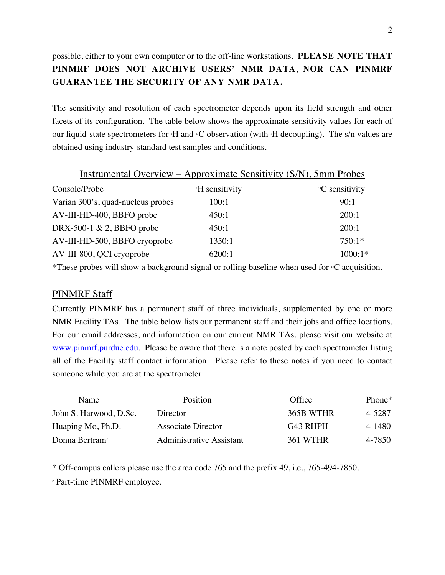## possible, either to your own computer or to the off-line workstations. **PLEASE NOTE THAT PINMRF DOES NOT ARCHIVE USERS' NMR DATA**, **NOR CAN PINMRF GUARANTEE THE SECURITY OF ANY NMR DATA.**

The sensitivity and resolution of each spectrometer depends upon its field strength and other facets of its configuration. The table below shows the approximate sensitivity values for each of our liquid-state spectrometers for H and <sup>13</sup>C observation (with H decoupling). The s/n values are obtained using industry-standard test samples and conditions.

| <u> Instrumental Overview – Approximate Sensitivity (S/N), 5mm Probes</u> |                            |                             |  |  |  |  |  |
|---------------------------------------------------------------------------|----------------------------|-----------------------------|--|--|--|--|--|
| Console/Probe                                                             | <sup>1</sup> H sensitivity | <sup>13</sup> C sensitivity |  |  |  |  |  |
| Varian 300's, quad-nucleus probes                                         | 100:1                      | 90:1                        |  |  |  |  |  |
| AV-III-HD-400, BBFO probe                                                 | 450:1                      | 200:1                       |  |  |  |  |  |
| DRX-500-1 $\& 2$ , BBFO probe                                             | 450:1                      | 200:1                       |  |  |  |  |  |
| AV-III-HD-500, BBFO cryoprobe                                             | 1350:1                     | $750:1*$                    |  |  |  |  |  |
| AV-III-800, QCI cryoprobe                                                 | 6200:1                     | $1000:1*$                   |  |  |  |  |  |

\*These probes will show a background signal or rolling baseline when used for <sup>13</sup>C acquisition.

## PINMRF Staff

Currently PINMRF has a permanent staff of three individuals, supplemented by one or more NMR Facility TAs. The table below lists our permanent staff and their jobs and office locations. For our email addresses, and information on our current NMR TAs, please visit our website at www.pinmrf.purdue.edu. Please be aware that there is a note posted by each spectrometer listing all of the Facility staff contact information. Please refer to these notes if you need to contact someone while you are at the spectrometer.

| Name                       | Position                 | Office    | Phone* |
|----------------------------|--------------------------|-----------|--------|
| John S. Harwood, D.Sc.     | Director                 | 365B WTHR | 4-5287 |
| Huaping Mo, Ph.D.          | Associate Director       | G43 RHPH  | 4-1480 |
| Donna Bertram <sup>®</sup> | Administrative Assistant | 361 WTHR  | 4-7850 |

\* Off-campus callers please use the area code 765 and the prefix 49, i.e., 765-494-7850.

# Part-time PINMRF employee.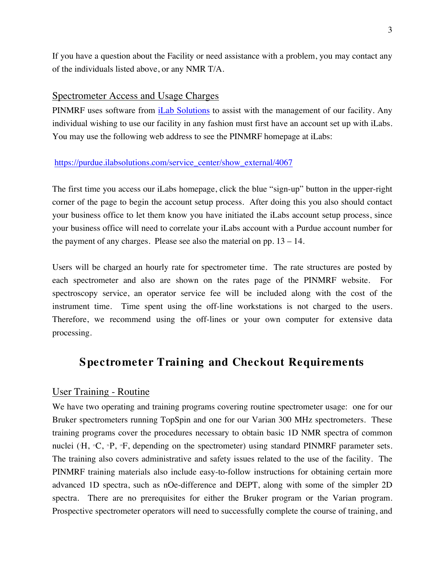If you have a question about the Facility or need assistance with a problem, you may contact any of the individuals listed above, or any NMR T/A.

#### Spectrometer Access and Usage Charges

PINMRF uses software from iLab Solutions to assist with the management of our facility. Any individual wishing to use our facility in any fashion must first have an account set up with iLabs. You may use the following web address to see the PINMRF homepage at iLabs:

#### https://purdue.ilabsolutions.com/service\_center/show\_external/4067

The first time you access our iLabs homepage, click the blue "sign-up" button in the upper-right corner of the page to begin the account setup process. After doing this you also should contact your business office to let them know you have initiated the iLabs account setup process, since your business office will need to correlate your iLabs account with a Purdue account number for the payment of any charges. Please see also the material on pp. 13 – 14.

Users will be charged an hourly rate for spectrometer time. The rate structures are posted by each spectrometer and also are shown on the rates page of the PINMRF website. For spectroscopy service, an operator service fee will be included along with the cost of the instrument time. Time spent using the off-line workstations is not charged to the users. Therefore, we recommend using the off-lines or your own computer for extensive data processing.

## **Spectrometer Training and Checkout Requirements**

## User Training - Routine

We have two operating and training programs covering routine spectrometer usage: one for our Bruker spectrometers running TopSpin and one for our Varian 300 MHz spectrometers. These training programs cover the procedures necessary to obtain basic 1D NMR spectra of common nuclei (H, <sup>13</sup>C, <sup>31</sup>P, <sup>13</sup>F, depending on the spectrometer) using standard PINMRF parameter sets. The training also covers administrative and safety issues related to the use of the facility. The PINMRF training materials also include easy-to-follow instructions for obtaining certain more advanced 1D spectra, such as nOe-difference and DEPT, along with some of the simpler 2D spectra. There are no prerequisites for either the Bruker program or the Varian program. Prospective spectrometer operators will need to successfully complete the course of training, and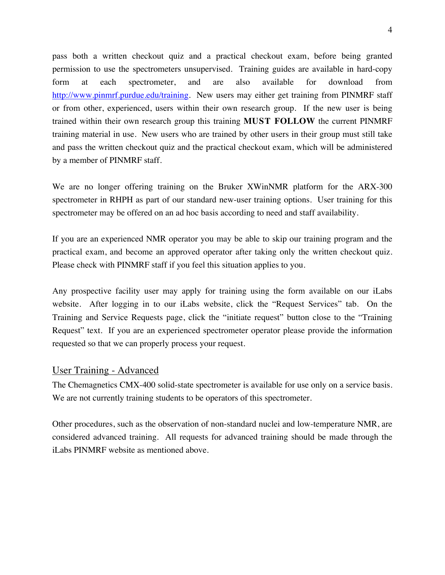pass both a written checkout quiz and a practical checkout exam, before being granted permission to use the spectrometers unsupervised. Training guides are available in hard-copy form at each spectrometer, and are also available for download from http://www.pinmrf.purdue.edu/training. New users may either get training from PINMRF staff or from other, experienced, users within their own research group. If the new user is being trained within their own research group this training **MUST FOLLOW** the current PINMRF training material in use. New users who are trained by other users in their group must still take and pass the written checkout quiz and the practical checkout exam, which will be administered by a member of PINMRF staff.

We are no longer offering training on the Bruker XWinNMR platform for the ARX-300 spectrometer in RHPH as part of our standard new-user training options. User training for this spectrometer may be offered on an ad hoc basis according to need and staff availability.

If you are an experienced NMR operator you may be able to skip our training program and the practical exam, and become an approved operator after taking only the written checkout quiz. Please check with PINMRF staff if you feel this situation applies to you.

Any prospective facility user may apply for training using the form available on our iLabs website. After logging in to our iLabs website, click the "Request Services" tab. On the Training and Service Requests page, click the "initiate request" button close to the "Training Request" text. If you are an experienced spectrometer operator please provide the information requested so that we can properly process your request.

## User Training - Advanced

The Chemagnetics CMX-400 solid-state spectrometer is available for use only on a service basis. We are not currently training students to be operators of this spectrometer.

Other procedures, such as the observation of non-standard nuclei and low-temperature NMR, are considered advanced training. All requests for advanced training should be made through the iLabs PINMRF website as mentioned above.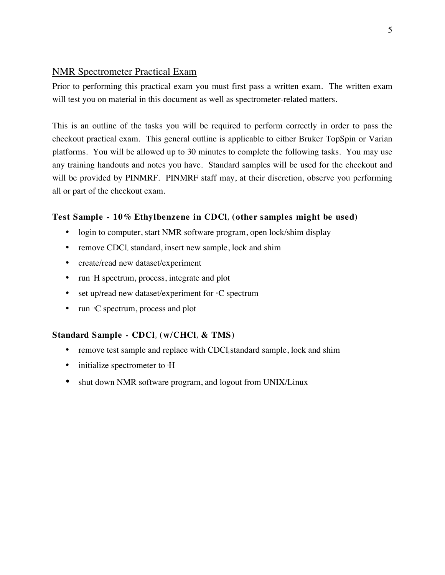## NMR Spectrometer Practical Exam

Prior to performing this practical exam you must first pass a written exam. The written exam will test you on material in this document as well as spectrometer-related matters.

This is an outline of the tasks you will be required to perform correctly in order to pass the checkout practical exam. This general outline is applicable to either Bruker TopSpin or Varian platforms. You will be allowed up to 30 minutes to complete the following tasks. You may use any training handouts and notes you have. Standard samples will be used for the checkout and will be provided by PINMRF. PINMRF staff may, at their discretion, observe you performing all or part of the checkout exam.

## **Test Sample - 10% Ethylbenzene in CDCl <sup>3</sup> (other samples might be used)**

- login to computer, start NMR software program, open lock/shim display
- remove CDCl, standard, insert new sample, lock and shim
- create/read new dataset/experiment
- run H spectrum, process, integrate and plot
- set up/read new dataset/experiment for  $C$  spectrum
- run  ${}^{\text{B}}\text{C}$  spectrum, process and plot

## **Standard Sample - CDCl <sup>3</sup> (w/CHCl <sup>3</sup> & TMS)**

- remove test sample and replace with CDCl<sub>3</sub> standard sample, lock and shim
- initialize spectrometer to H
- shut down NMR software program, and logout from UNIX/Linux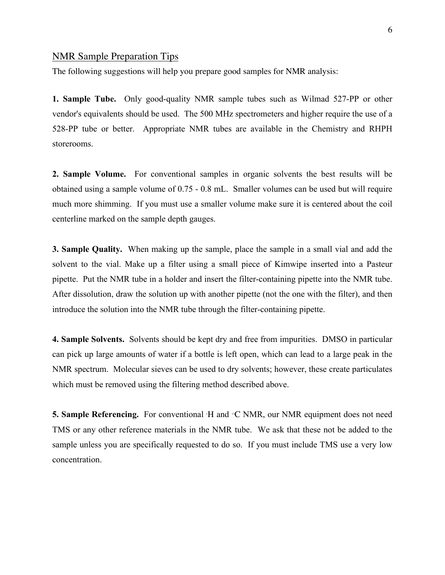#### NMR Sample Preparation Tips

The following suggestions will help you prepare good samples for NMR analysis:

**1. Sample Tube.** Only good-quality NMR sample tubes such as Wilmad 527-PP or other vendor's equivalents should be used. The 500 MHz spectrometers and higher require the use of a 528-PP tube or better. Appropriate NMR tubes are available in the Chemistry and RHPH storerooms.

**2. Sample Volume.** For conventional samples in organic solvents the best results will be obtained using a sample volume of 0.75 - 0.8 mL. Smaller volumes can be used but will require much more shimming. If you must use a smaller volume make sure it is centered about the coil centerline marked on the sample depth gauges.

**3. Sample Quality.** When making up the sample, place the sample in a small vial and add the solvent to the vial. Make up a filter using a small piece of Kimwipe inserted into a Pasteur pipette. Put the NMR tube in a holder and insert the filter-containing pipette into the NMR tube. After dissolution, draw the solution up with another pipette (not the one with the filter), and then introduce the solution into the NMR tube through the filter-containing pipette.

**4. Sample Solvents.** Solvents should be kept dry and free from impurities. DMSO in particular can pick up large amounts of water if a bottle is left open, which can lead to a large peak in the NMR spectrum. Molecular sieves can be used to dry solvents; however, these create particulates which must be removed using the filtering method described above.

**5. Sample Referencing.** For conventional H and <sup>11</sup>C NMR, our NMR equipment does not need TMS or any other reference materials in the NMR tube. We ask that these not be added to the sample unless you are specifically requested to do so. If you must include TMS use a very low concentration.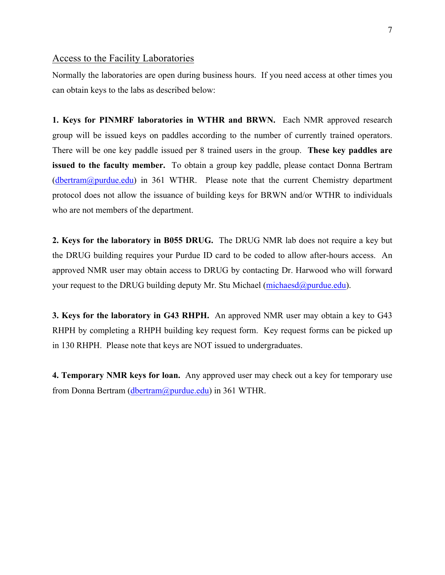#### Access to the Facility Laboratories

Normally the laboratories are open during business hours. If you need access at other times you can obtain keys to the labs as described below:

**1. Keys for PINMRF laboratories in WTHR and BRWN.** Each NMR approved research group will be issued keys on paddles according to the number of currently trained operators. There will be one key paddle issued per 8 trained users in the group. **These key paddles are issued to the faculty member.** To obtain a group key paddle, please contact Donna Bertram (dbertram@purdue.edu) in 361 WTHR. Please note that the current Chemistry department protocol does not allow the issuance of building keys for BRWN and/or WTHR to individuals who are not members of the department.

**2. Keys for the laboratory in B055 DRUG.** The DRUG NMR lab does not require a key but the DRUG building requires your Purdue ID card to be coded to allow after-hours access. An approved NMR user may obtain access to DRUG by contacting Dr. Harwood who will forward your request to the DRUG building deputy Mr. Stu Michael (michaesd@purdue.edu).

**3. Keys for the laboratory in G43 RHPH.** An approved NMR user may obtain a key to G43 RHPH by completing a RHPH building key request form. Key request forms can be picked up in 130 RHPH. Please note that keys are NOT issued to undergraduates.

**4. Temporary NMR keys for loan.** Any approved user may check out a key for temporary use from Donna Bertram (dbertram @purdue.edu) in 361 WTHR.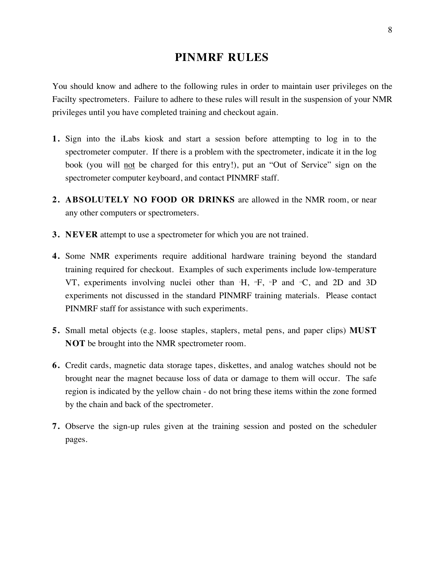# **PINMRF RULES**

You should know and adhere to the following rules in order to maintain user privileges on the Facilty spectrometers. Failure to adhere to these rules will result in the suspension of your NMR privileges until you have completed training and checkout again.

- **1.** Sign into the iLabs kiosk and start a session before attempting to log in to the spectrometer computer. If there is a problem with the spectrometer, indicate it in the log book (you will not be charged for this entry!), put an "Out of Service" sign on the spectrometer computer keyboard, and contact PINMRF staff.
- **2. ABSOLUTELY NO FOOD OR DRINKS** are allowed in the NMR room, or near any other computers or spectrometers.
- **3. NEVER** attempt to use a spectrometer for which you are not trained.
- **4.** Some NMR experiments require additional hardware training beyond the standard training required for checkout. Examples of such experiments include low-temperature VT, experiments involving nuclei other than  $H$ ,  $P$ ,  $P$  and  $P$ C, and 2D and 3D experiments not discussed in the standard PINMRF training materials. Please contact PINMRF staff for assistance with such experiments.
- **5.** Small metal objects (e.g. loose staples, staplers, metal pens, and paper clips) **MUST NOT** be brought into the NMR spectrometer room.
- **6.** Credit cards, magnetic data storage tapes, diskettes, and analog watches should not be brought near the magnet because loss of data or damage to them will occur. The safe region is indicated by the yellow chain - do not bring these items within the zone formed by the chain and back of the spectrometer.
- **7.** Observe the sign-up rules given at the training session and posted on the scheduler pages.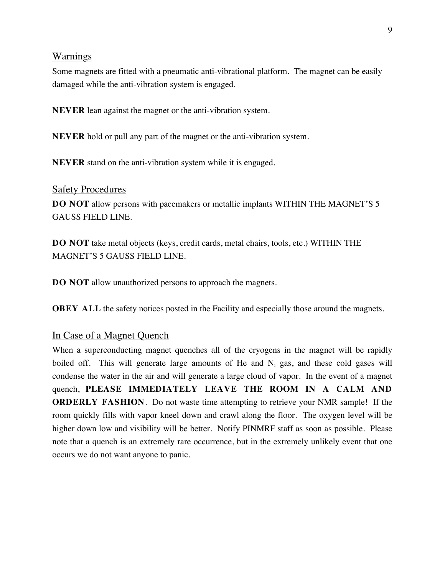#### Warnings

Some magnets are fitted with a pneumatic anti-vibrational platform. The magnet can be easily damaged while the anti-vibration system is engaged.

**NEVER** lean against the magnet or the anti-vibration system.

**NEVER** hold or pull any part of the magnet or the anti-vibration system.

**NEVER** stand on the anti-vibration system while it is engaged.

#### Safety Procedures

**DO NOT** allow persons with pacemakers or metallic implants WITHIN THE MAGNET'S 5 GAUSS FIELD LINE.

**DO NOT** take metal objects (keys, credit cards, metal chairs, tools, etc.) WITHIN THE MAGNET'S 5 GAUSS FIELD LINE.

**DO NOT** allow unauthorized persons to approach the magnets.

**OBEY ALL** the safety notices posted in the Facility and especially those around the magnets.

#### In Case of a Magnet Quench

When a superconducting magnet quenches all of the cryogens in the magnet will be rapidly boiled off. This will generate large amounts of He and  $N_2$  gas, and these cold gases will condense the water in the air and will generate a large cloud of vapor. In the event of a magnet quench, **PLEASE IMMEDIATELY LEAVE THE ROOM IN A CALM AND ORDERLY FASHION**. Do not waste time attempting to retrieve your NMR sample! If the room quickly fills with vapor kneel down and crawl along the floor. The oxygen level will be higher down low and visibility will be better. Notify PINMRF staff as soon as possible. Please note that a quench is an extremely rare occurrence, but in the extremely unlikely event that one occurs we do not want anyone to panic.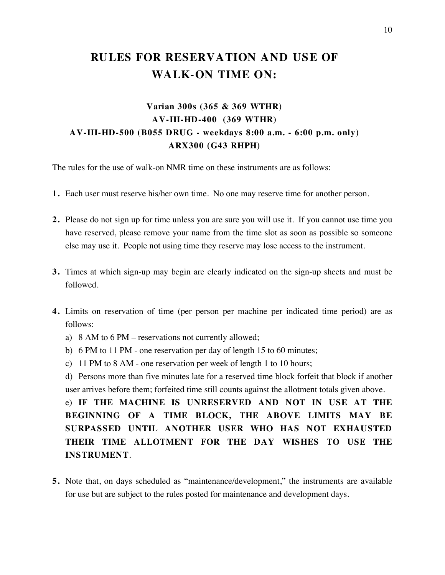# **RULES FOR RESERVATION AND USE OF WALK-ON TIME ON:**

# **Varian 300s (365 & 369 WTHR) AV-III-HD-400 (369 WTHR) AV-III-HD-500 (B055 DRUG - weekdays 8:00 a.m. - 6:00 p.m. only) ARX300 (G43 RHPH)**

The rules for the use of walk-on NMR time on these instruments are as follows:

- **1.** Each user must reserve his/her own time. No one may reserve time for another person.
- **2.** Please do not sign up for time unless you are sure you will use it. If you cannot use time you have reserved, please remove your name from the time slot as soon as possible so someone else may use it. People not using time they reserve may lose access to the instrument.
- **3.** Times at which sign-up may begin are clearly indicated on the sign-up sheets and must be followed.
- **4.** Limits on reservation of time (per person per machine per indicated time period) are as follows:
	- a) 8 AM to 6 PM reservations not currently allowed;
	- b) 6 PM to 11 PM one reservation per day of length 15 to 60 minutes;
	- c) 11 PM to 8 AM one reservation per week of length 1 to 10 hours;

d) Persons more than five minutes late for a reserved time block forfeit that block if another user arrives before them; forfeited time still counts against the allotment totals given above.

e) **IF THE MACHINE IS UNRESERVED AND NOT IN USE AT THE BEGINNING OF A TIME BLOCK, THE ABOVE LIMITS MAY BE SURPASSED UNTIL ANOTHER USER WHO HAS NOT EXHAUSTED THEIR TIME ALLOTMENT FOR THE DAY WISHES TO USE THE INSTRUMENT**.

**5.** Note that, on days scheduled as "maintenance/development," the instruments are available for use but are subject to the rules posted for maintenance and development days.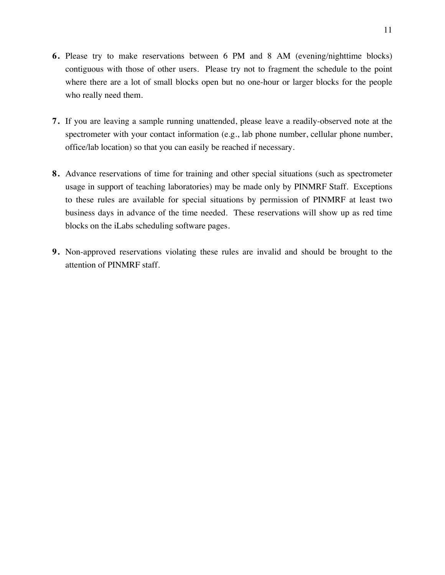- **6.** Please try to make reservations between 6 PM and 8 AM (evening/nighttime blocks) contiguous with those of other users. Please try not to fragment the schedule to the point where there are a lot of small blocks open but no one-hour or larger blocks for the people who really need them.
- **7.** If you are leaving a sample running unattended, please leave a readily-observed note at the spectrometer with your contact information (e.g., lab phone number, cellular phone number, office/lab location) so that you can easily be reached if necessary.
- **8.** Advance reservations of time for training and other special situations (such as spectrometer usage in support of teaching laboratories) may be made only by PINMRF Staff. Exceptions to these rules are available for special situations by permission of PINMRF at least two business days in advance of the time needed. These reservations will show up as red time blocks on the iLabs scheduling software pages.
- **9.** Non-approved reservations violating these rules are invalid and should be brought to the attention of PINMRF staff.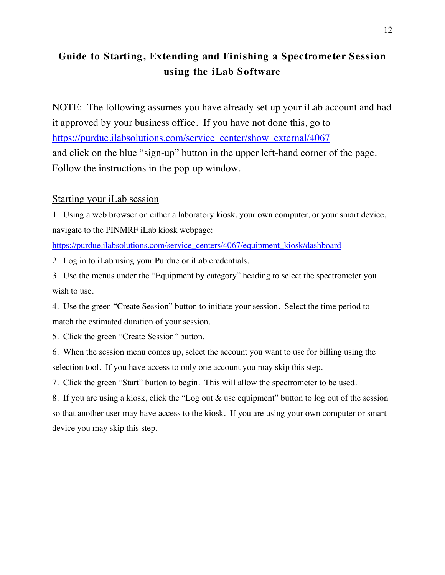# **Guide to Starting, Extending and Finishing a Spectrometer Session using the iLab Software**

NOTE: The following assumes you have already set up your iLab account and had it approved by your business office. If you have not done this, go to https://purdue.ilabsolutions.com/service\_center/show\_external/4067 and click on the blue "sign-up" button in the upper left-hand corner of the page. Follow the instructions in the pop-up window.

## Starting your iLab session

1. Using a web browser on either a laboratory kiosk, your own computer, or your smart device, navigate to the PINMRF iLab kiosk webpage:

https://purdue.ilabsolutions.com/service\_centers/4067/equipment\_kiosk/dashboard

2. Log in to iLab using your Purdue or iLab credentials.

3. Use the menus under the "Equipment by category" heading to select the spectrometer you wish to use.

4. Use the green "Create Session" button to initiate your session. Select the time period to match the estimated duration of your session.

5. Click the green "Create Session" button.

6. When the session menu comes up, select the account you want to use for billing using the selection tool. If you have access to only one account you may skip this step.

7. Click the green "Start" button to begin. This will allow the spectrometer to be used.

8. If you are using a kiosk, click the "Log out & use equipment" button to log out of the session so that another user may have access to the kiosk. If you are using your own computer or smart device you may skip this step.